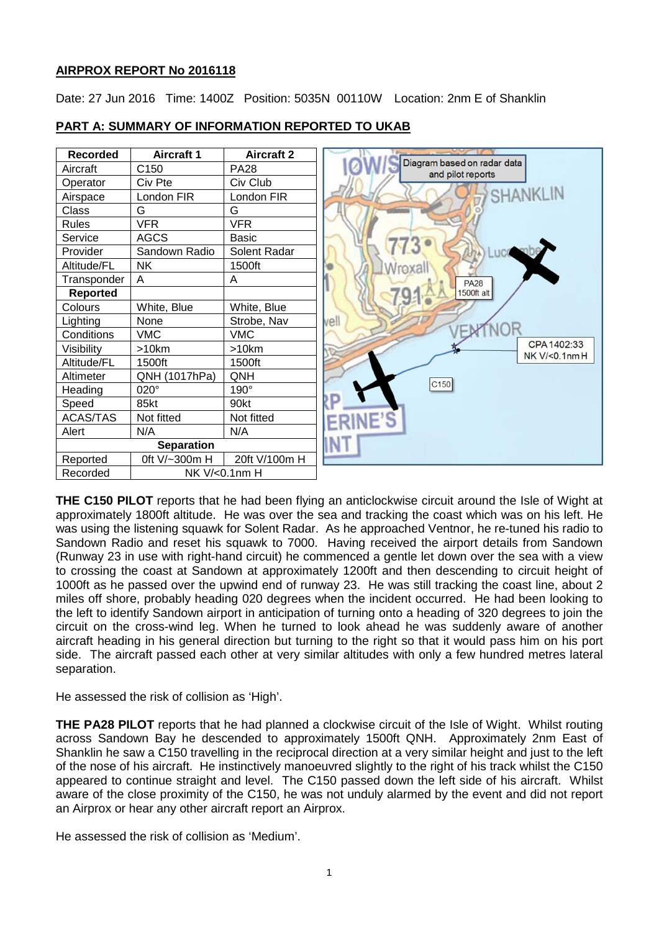# **AIRPROX REPORT No 2016118**

Date: 27 Jun 2016 Time: 1400Z Position: 5035N 00110W Location: 2nm E of Shanklin



# **PART A: SUMMARY OF INFORMATION REPORTED TO UKAB**

**THE C150 PILOT** reports that he had been flying an anticlockwise circuit around the Isle of Wight at approximately 1800ft altitude. He was over the sea and tracking the coast which was on his left. He was using the listening squawk for Solent Radar. As he approached Ventnor, he re-tuned his radio to Sandown Radio and reset his squawk to 7000. Having received the airport details from Sandown (Runway 23 in use with right-hand circuit) he commenced a gentle let down over the sea with a view to crossing the coast at Sandown at approximately 1200ft and then descending to circuit height of 1000ft as he passed over the upwind end of runway 23. He was still tracking the coast line, about 2 miles off shore, probably heading 020 degrees when the incident occurred. He had been looking to the left to identify Sandown airport in anticipation of turning onto a heading of 320 degrees to join the circuit on the cross-wind leg. When he turned to look ahead he was suddenly aware of another aircraft heading in his general direction but turning to the right so that it would pass him on his port side. The aircraft passed each other at very similar altitudes with only a few hundred metres lateral separation.

He assessed the risk of collision as 'High'.

**THE PA28 PILOT** reports that he had planned a clockwise circuit of the Isle of Wight. Whilst routing across Sandown Bay he descended to approximately 1500ft QNH. Approximately 2nm East of Shanklin he saw a C150 travelling in the reciprocal direction at a very similar height and just to the left of the nose of his aircraft. He instinctively manoeuvred slightly to the right of his track whilst the C150 appeared to continue straight and level. The C150 passed down the left side of his aircraft. Whilst aware of the close proximity of the C150, he was not unduly alarmed by the event and did not report an Airprox or hear any other aircraft report an Airprox.

He assessed the risk of collision as 'Medium'.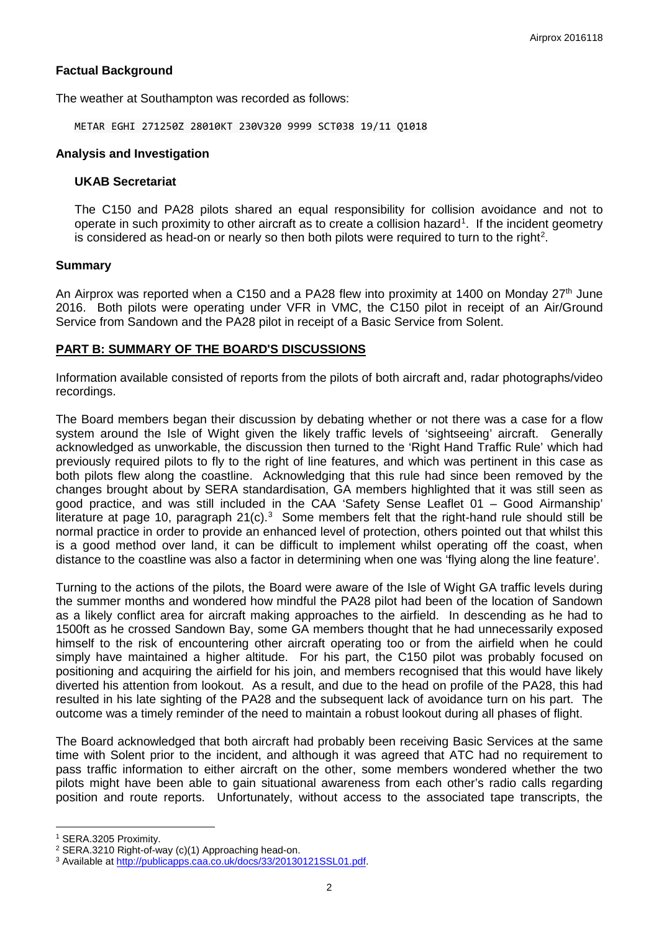## **Factual Background**

The weather at Southampton was recorded as follows:

METAR EGHI 271250Z 28010KT 230V320 9999 SCT038 19/11 Q1018

## **Analysis and Investigation**

#### **UKAB Secretariat**

The C150 and PA28 pilots shared an equal responsibility for collision avoidance and not to operate in such proximity to other aircraft as to create a collision hazard<sup>[1](#page-1-0)</sup>. If the incident geometry is considered as head-on or nearly so then both pilots were required to turn to the right<sup>[2](#page-1-1)</sup>.

## **Summary**

An Airprox was reported when a C150 and a PA28 flew into proximity at 1400 on Monday  $27<sup>th</sup>$  June 2016. Both pilots were operating under VFR in VMC, the C150 pilot in receipt of an Air/Ground Service from Sandown and the PA28 pilot in receipt of a Basic Service from Solent.

## **PART B: SUMMARY OF THE BOARD'S DISCUSSIONS**

Information available consisted of reports from the pilots of both aircraft and, radar photographs/video recordings.

The Board members began their discussion by debating whether or not there was a case for a flow system around the Isle of Wight given the likely traffic levels of 'sightseeing' aircraft. Generally acknowledged as unworkable, the discussion then turned to the 'Right Hand Traffic Rule' which had previously required pilots to fly to the right of line features, and which was pertinent in this case as both pilots flew along the coastline. Acknowledging that this rule had since been removed by the changes brought about by SERA standardisation, GA members highlighted that it was still seen as good practice, and was still included in the CAA 'Safety Sense Leaflet 01 – Good Airmanship' literature at page 10, paragraph 21(c). $3$  Some members felt that the right-hand rule should still be normal practice in order to provide an enhanced level of protection, others pointed out that whilst this is a good method over land, it can be difficult to implement whilst operating off the coast, when distance to the coastline was also a factor in determining when one was 'flying along the line feature'.

Turning to the actions of the pilots, the Board were aware of the Isle of Wight GA traffic levels during the summer months and wondered how mindful the PA28 pilot had been of the location of Sandown as a likely conflict area for aircraft making approaches to the airfield. In descending as he had to 1500ft as he crossed Sandown Bay, some GA members thought that he had unnecessarily exposed himself to the risk of encountering other aircraft operating too or from the airfield when he could simply have maintained a higher altitude. For his part, the C150 pilot was probably focused on positioning and acquiring the airfield for his join, and members recognised that this would have likely diverted his attention from lookout. As a result, and due to the head on profile of the PA28, this had resulted in his late sighting of the PA28 and the subsequent lack of avoidance turn on his part. The outcome was a timely reminder of the need to maintain a robust lookout during all phases of flight.

The Board acknowledged that both aircraft had probably been receiving Basic Services at the same time with Solent prior to the incident, and although it was agreed that ATC had no requirement to pass traffic information to either aircraft on the other, some members wondered whether the two pilots might have been able to gain situational awareness from each other's radio calls regarding position and route reports. Unfortunately, without access to the associated tape transcripts, the

 $\overline{\phantom{a}}$ 

<span id="page-1-0"></span><sup>1</sup> SERA.3205 Proximity.

<span id="page-1-1"></span><sup>2</sup> SERA.3210 Right-of-way (c)(1) Approaching head-on.

<span id="page-1-2"></span><sup>3</sup> Available at [http://publicapps.caa.co.uk/docs/33/20130121SSL01.pdf.](http://publicapps.caa.co.uk/docs/33/20130121SSL01.pdf)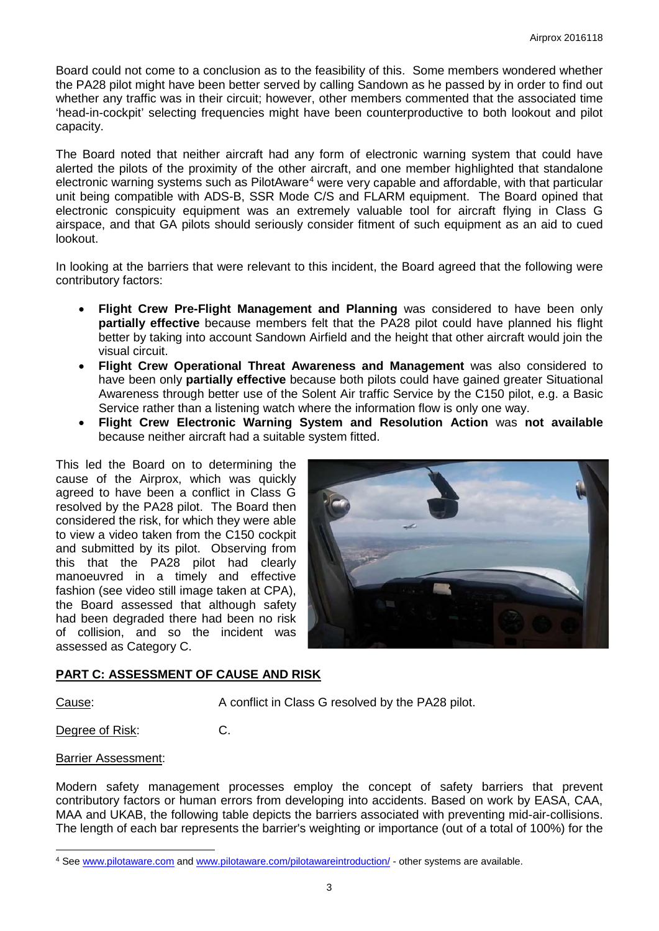Board could not come to a conclusion as to the feasibility of this. Some members wondered whether the PA28 pilot might have been better served by calling Sandown as he passed by in order to find out whether any traffic was in their circuit; however, other members commented that the associated time 'head-in-cockpit' selecting frequencies might have been counterproductive to both lookout and pilot capacity.

The Board noted that neither aircraft had any form of electronic warning system that could have alerted the pilots of the proximity of the other aircraft, and one member highlighted that standalone electronic warning systems such as PilotAware<sup>[4](#page-2-0)</sup> were very capable and affordable, with that particular unit being compatible with ADS-B, SSR Mode C/S and FLARM equipment. The Board opined that electronic conspicuity equipment was an extremely valuable tool for aircraft flying in Class G airspace, and that GA pilots should seriously consider fitment of such equipment as an aid to cued lookout.

In looking at the barriers that were relevant to this incident, the Board agreed that the following were contributory factors:

- **Flight Crew Pre-Flight Management and Planning** was considered to have been only **partially effective** because members felt that the PA28 pilot could have planned his flight better by taking into account Sandown Airfield and the height that other aircraft would join the visual circuit.
- **Flight Crew Operational Threat Awareness and Management** was also considered to have been only **partially effective** because both pilots could have gained greater Situational Awareness through better use of the Solent Air traffic Service by the C150 pilot, e.g. a Basic Service rather than a listening watch where the information flow is only one way.
- **Flight Crew Electronic Warning System and Resolution Action** was **not available** because neither aircraft had a suitable system fitted.

This led the Board on to determining the cause of the Airprox, which was quickly agreed to have been a conflict in Class G resolved by the PA28 pilot. The Board then considered the risk, for which they were able to view a video taken from the C150 cockpit and submitted by its pilot. Observing from this that the PA28 pilot had clearly manoeuvred in a timely and effective fashion (see video still image taken at CPA), the Board assessed that although safety had been degraded there had been no risk of collision, and so the incident was assessed as Category C.



# **PART C: ASSESSMENT OF CAUSE AND RISK**

 $\overline{\phantom{a}}$ 

Cause: A conflict in Class G resolved by the PA28 pilot.

Degree of Risk: C.

# Barrier Assessment:

Modern safety management processes employ the concept of safety barriers that prevent contributory factors or human errors from developing into accidents. Based on work by EASA, CAA, MAA and UKAB, the following table depicts the barriers associated with preventing mid-air-collisions. The length of each bar represents the barrier's weighting or importance (out of a total of 100%) for the

<span id="page-2-0"></span><sup>4</sup> See [www.pilotaware.com](http://www.pilotaware.com/) and [www.pilotaware.com/pilotawareintroduction/](http://www.pilotaware.com/pilotawareintroduction/) - other systems are available.